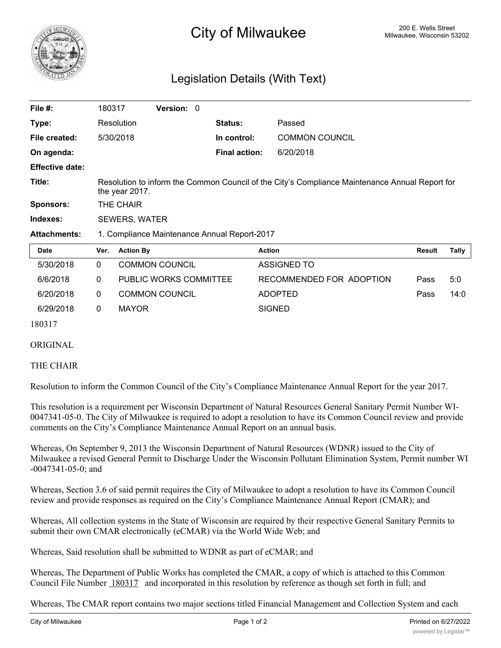

# <sup>200 E.</sup> Wells Street **City of Milwaukee** Milwaukee, Wisconsin 53202

## Legislation Details (With Text)

| File $#$ :             | 180317                                                                                                           | Version: 0 |  |                      |                       |               |       |  |  |  |
|------------------------|------------------------------------------------------------------------------------------------------------------|------------|--|----------------------|-----------------------|---------------|-------|--|--|--|
| Type:                  | Resolution                                                                                                       |            |  | Status:              | Passed                |               |       |  |  |  |
| File created:          | 5/30/2018                                                                                                        |            |  | In control:          | <b>COMMON COUNCIL</b> |               |       |  |  |  |
| On agenda:             |                                                                                                                  |            |  | <b>Final action:</b> | 6/20/2018             |               |       |  |  |  |
| <b>Effective date:</b> |                                                                                                                  |            |  |                      |                       |               |       |  |  |  |
| Title:                 | Resolution to inform the Common Council of the City's Compliance Maintenance Annual Report for<br>the year 2017. |            |  |                      |                       |               |       |  |  |  |
| <b>Sponsors:</b>       | THE CHAIR                                                                                                        |            |  |                      |                       |               |       |  |  |  |
| Indexes:               | <b>SEWERS, WATER</b>                                                                                             |            |  |                      |                       |               |       |  |  |  |
| <b>Attachments:</b>    | 1. Compliance Maintenance Annual Report-2017                                                                     |            |  |                      |                       |               |       |  |  |  |
| <b>Date</b>            | Ver.<br><b>Action By</b>                                                                                         |            |  | <b>Action</b>        |                       | <b>Result</b> | Tally |  |  |  |

| Date      | ver. | <b>Action By</b>              | Action                   | Result | Lally |
|-----------|------|-------------------------------|--------------------------|--------|-------|
| 5/30/2018 |      | <b>COMMON COUNCIL</b>         | ASSIGNED TO              |        |       |
| 6/6/2018  |      | <b>PUBLIC WORKS COMMITTEE</b> | RECOMMENDED FOR ADOPTION | Pass   | 5:0   |
| 6/20/2018 | 0    | <b>COMMON COUNCIL</b>         | <b>ADOPTED</b>           | Pass   | 14:0  |
| 6/29/2018 |      | <b>MAYOR</b>                  | <b>SIGNED</b>            |        |       |
|           |      |                               |                          |        |       |

180317

### ORIGINAL

#### THE CHAIR

Resolution to inform the Common Council of the City's Compliance Maintenance Annual Report for the year 2017.

This resolution is a requirement per Wisconsin Department of Natural Resources General Sanitary Permit Number WI-0047341-05-0. The City of Milwaukee is required to adopt a resolution to have its Common Council review and provide comments on the City's Compliance Maintenance Annual Report on an annual basis.

Whereas, On September 9, 2013 the Wisconsin Department of Natural Resources (WDNR) issued to the City of Milwaukee a revised General Permit to Discharge Under the Wisconsin Pollutant Elimination System, Permit number WI -0047341-05-0; and

Whereas, Section 3.6 of said permit requires the City of Milwaukee to adopt a resolution to have its Common Council review and provide responses as required on the City's Compliance Maintenance Annual Report (CMAR); and

Whereas, All collection systems in the State of Wisconsin are required by their respective General Sanitary Permits to submit their own CMAR electronically (eCMAR) via the World Wide Web; and

Whereas, Said resolution shall be submitted to WDNR as part of eCMAR; and

Whereas, The Department of Public Works has completed the CMAR, a copy of which is attached to this Common Council File Number 180317 and incorporated in this resolution by reference as though set forth in full; and

Whereas, The CMAR report contains two major sections titled Financial Management and Collection System and each